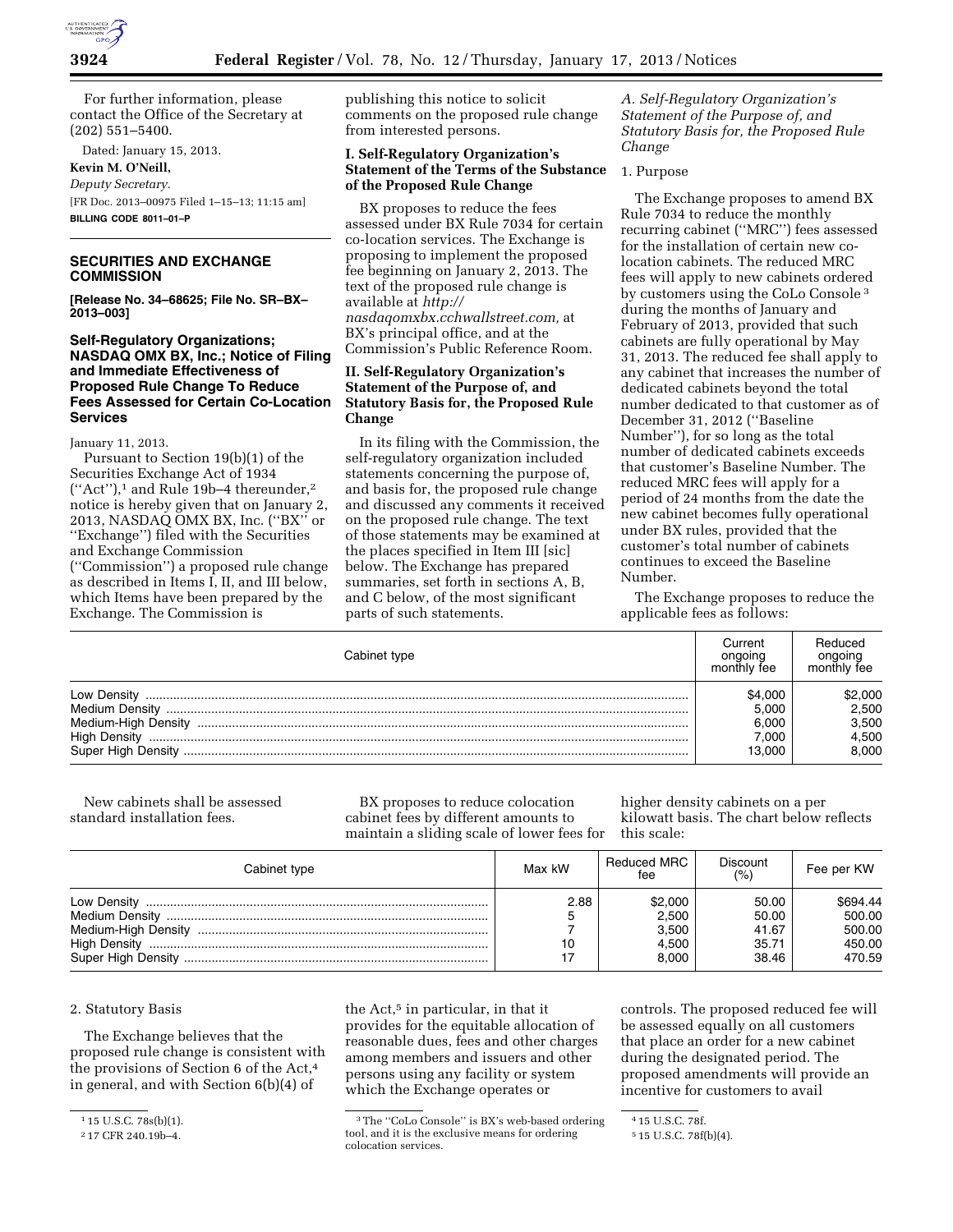

For further information, please contact the Office of the Secretary at (202) 551–5400.

Dated: January 15, 2013. **Kevin M. O'Neill,**  *Deputy Secretary.*  [FR Doc. 2013–00975 Filed 1–15–13; 11:15 am] **BILLING CODE 8011–01–P** 

# **SECURITIES AND EXCHANGE COMMISSION**

**[Release No. 34–68625; File No. SR–BX– 2013–003]** 

# **Self-Regulatory Organizations; NASDAQ OMX BX, Inc.; Notice of Filing and Immediate Effectiveness of Proposed Rule Change To Reduce Fees Assessed for Certain Co-Location Services**

January 11, 2013.

Pursuant to Section 19(b)(1) of the Securities Exchange Act of 1934 (''Act''),1 and Rule 19b–4 thereunder,2 notice is hereby given that on January 2, 2013, NASDAQ OMX BX, Inc. (''BX'' or ''Exchange'') filed with the Securities and Exchange Commission (''Commission'') a proposed rule change as described in Items I, II, and III below, which Items have been prepared by the Exchange. The Commission is

publishing this notice to solicit comments on the proposed rule change from interested persons.

# **I. Self-Regulatory Organization's Statement of the Terms of the Substance of the Proposed Rule Change**

BX proposes to reduce the fees assessed under BX Rule 7034 for certain co-location services. The Exchange is proposing to implement the proposed fee beginning on January 2, 2013. The text of the proposed rule change is available at *[http://](http://nasdaqomxbx.cchwallstreet.com)  [nasdaqomxbx.cchwallstreet.com,](http://nasdaqomxbx.cchwallstreet.com)* at BX's principal office, and at the Commission's Public Reference Room.

# **II. Self-Regulatory Organization's Statement of the Purpose of, and Statutory Basis for, the Proposed Rule Change**

In its filing with the Commission, the self-regulatory organization included statements concerning the purpose of, and basis for, the proposed rule change and discussed any comments it received on the proposed rule change. The text of those statements may be examined at the places specified in Item III [sic] below. The Exchange has prepared summaries, set forth in sections A, B, and C below, of the most significant parts of such statements.

*A. Self-Regulatory Organization's Statement of the Purpose of, and Statutory Basis for, the Proposed Rule Change* 

### 1. Purpose

The Exchange proposes to amend BX Rule 7034 to reduce the monthly recurring cabinet (''MRC'') fees assessed for the installation of certain new colocation cabinets. The reduced MRC fees will apply to new cabinets ordered by customers using the CoLo Console 3 during the months of January and February of 2013, provided that such cabinets are fully operational by May 31, 2013. The reduced fee shall apply to any cabinet that increases the number of dedicated cabinets beyond the total number dedicated to that customer as of December 31, 2012 (''Baseline Number''), for so long as the total number of dedicated cabinets exceeds that customer's Baseline Number. The reduced MRC fees will apply for a period of 24 months from the date the new cabinet becomes fully operational under BX rules, provided that the customer's total number of cabinets continues to exceed the Baseline Number.

The Exchange proposes to reduce the applicable fees as follows:

| Cabinet type              | Current<br>ongoing<br>monthly fee | Reduced<br>onaoina<br>monthly fee |
|---------------------------|-----------------------------------|-----------------------------------|
| Low Density               | \$4.000                           | \$2,000                           |
| Medium Density            | 5.000                             | 2.500                             |
| Medium-High Density       | 6.000                             | 3,500                             |
| <b>High Density</b>       | 7.000                             | 4.500                             |
| <b>Super High Density</b> | 13.000                            | 8.000                             |

New cabinets shall be assessed standard installation fees.

BX proposes to reduce colocation cabinet fees by different amounts to maintain a sliding scale of lower fees for higher density cabinets on a per kilowatt basis. The chart below reflects this scale:

| Cabinet type | Max kW     | Reduced MRC<br>fee                          | <b>Discount</b><br>(%)                    | Fee per KW                                       |
|--------------|------------|---------------------------------------------|-------------------------------------------|--------------------------------------------------|
|              | 2.88<br>10 | \$2,000<br>2.500<br>3.500<br>4.500<br>8.000 | 50.00<br>50.00<br>41.67<br>35.71<br>38.46 | \$694.44<br>500.00<br>500.00<br>450.00<br>470.59 |

#### 2. Statutory Basis

The Exchange believes that the proposed rule change is consistent with the provisions of Section 6 of the Act,4 in general, and with Section 6(b)(4) of

the Act,<sup>5</sup> in particular, in that it provides for the equitable allocation of reasonable dues, fees and other charges among members and issuers and other persons using any facility or system which the Exchange operates or

controls. The proposed reduced fee will be assessed equally on all customers that place an order for a new cabinet during the designated period. The proposed amendments will provide an incentive for customers to avail

<sup>&</sup>lt;sup>1</sup> 15 U.S.C. 78s(b)(1).

<sup>2</sup> 17 CFR 240.19b–4.

<sup>3</sup>The ''CoLo Console'' is BX's web-based ordering tool, and it is the exclusive means for ordering colocation services.

<sup>4</sup> 15 U.S.C. 78f.

<sup>5</sup> 15 U.S.C. 78f(b)(4).